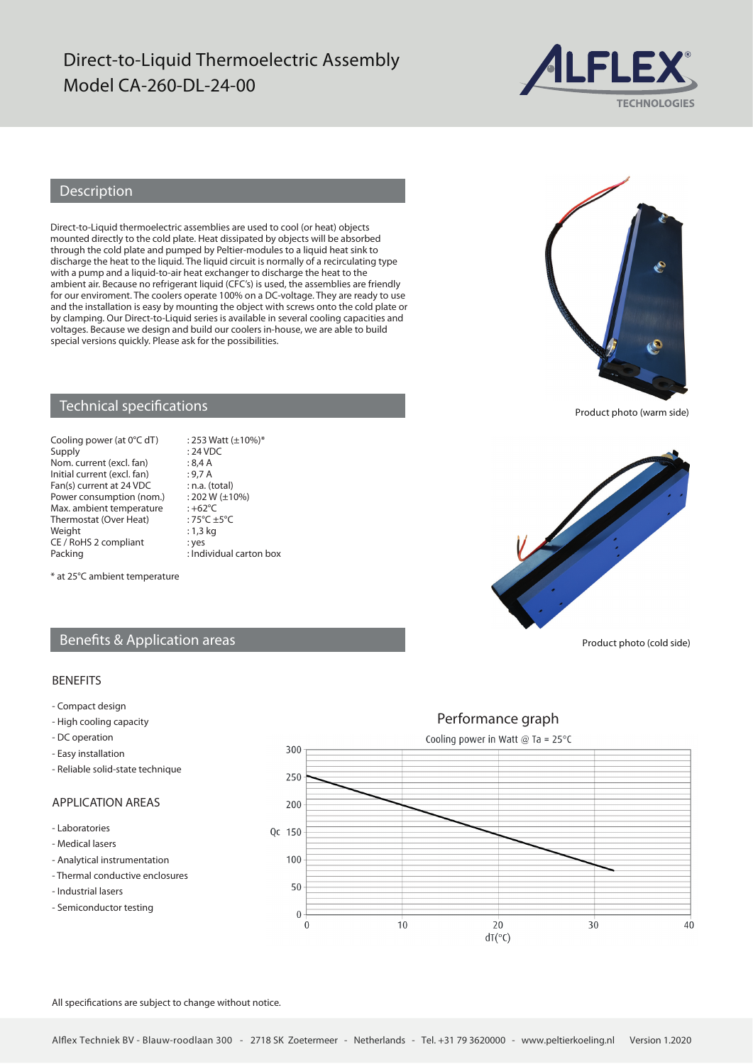# Direct-to-Liquid Thermoelectric Assembly Model CA-260-DL-24-00



### Description

Direct-to-Liquid thermoelectric assemblies are used to cool (or heat) objects mounted directly to the cold plate. Heat dissipated by objects will be absorbed through the cold plate and pumped by Peltier-modules to a liquid heat sink to discharge the heat to the liquid. The liquid circuit is normally of a recirculating type with a pump and a liquid-to-air heat exchanger to discharge the heat to the ambient air. Because no refrigerant liquid (CFC's) is used, the assemblies are friendly for our enviroment. The coolers operate 100% on a DC-voltage. They are ready to use and the installation is easy by mounting the object with screws onto the cold plate or by clamping. Our Direct-to-Liquid series is available in several cooling capacities and voltages. Because we design and build our coolers in-house, we are able to build special versions quickly. Please ask for the possibilities.



Product photo (warm side)

#### Technical specifications

Cooling power (at  $0^{\circ}$ C dT) : 253 Watt (±10%)\*<br>Supply : 24 VDC Nom. current (excl. fan) : 8,4 A<br>Initial current (excl. fan) : 9,7 A Initial current (excl. fan) : 9,7 A<br>Fan(s) current at 24 VDC : n.a. (total) Fan(s) current at  $24 \text{ VDC}$  : n.a. (total)<br>Power consumption (nom.) :  $202 \text{ W} (\pm 10\%)$ Power consumption (nom.) : 202 W<br>Max ambient temperature : +62 °C Max. ambient temperature : +62°C<br>Thermostat (Over Heat) : 75°C +5°C Thermostat (Over Heat) :  $75^{\circ}C \pm$ <br>Weight : 1,3 kg Weight CE / RoHS 2 compliant : yes<br>Packing : Ind

 $: 24$  VDC  $:$  Individual carton box



\* at 25°C ambient temperature

#### Benefits & Application areas

#### BENEFITS

- Compact design
- High cooling capacity
- DC operation
- Easy installation
- Reliable solid-state technique

#### APPLICATION AREAS

- Laboratories
- Medical lasers
- Analytical instrumentation
- Thermal conductive enclosures
- Industrial lasers
- Semiconductor testing



All specifications are subject to change without notice.